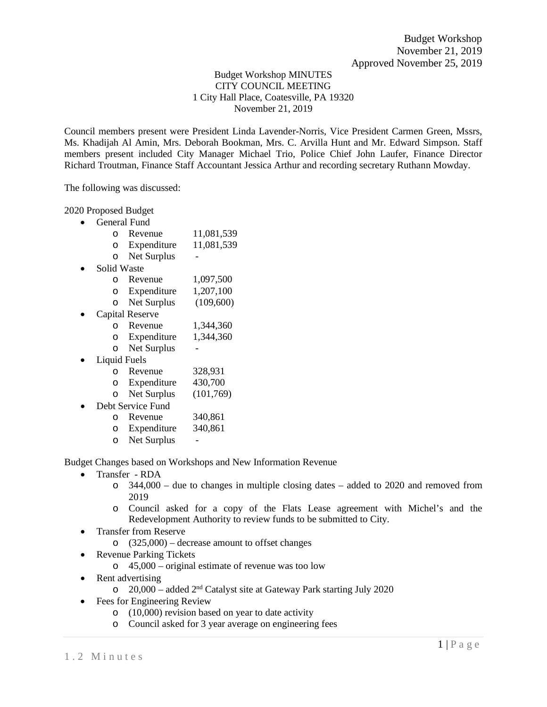## Budget Workshop MINUTES CITY COUNCIL MEETING 1 City Hall Place, Coatesville, PA 19320 November 21, 2019

Council members present were President Linda Lavender-Norris, Vice President Carmen Green, Mssrs, Ms. Khadijah Al Amin, Mrs. Deborah Bookman, Mrs. C. Arvilla Hunt and Mr. Edward Simpson. Staff members present included City Manager Michael Trio, Police Chief John Laufer, Finance Director Richard Troutman, Finance Staff Accountant Jessica Arthur and recording secretary Ruthann Mowday.

The following was discussed:

2020 Proposed Budget

- General Fund
	- o Revenue 11,081,539<br>
	o Expenditure 11,081,539
	- o Expenditure
	- o Net Surplus -
- Solid Waste
	- o Revenue 1,097,500<br>
	o Expenditure 1,207,100
	- o Expenditure 1,207,100<br>
	o Net Surplus (109,600)
	- o Net Surplus
- Capital Reserve
	- o Revenue 1,344,360<br>
	o Expenditure 1,344,360
	- o Expenditure
	- o Net Surplus -
- Liquid Fuels

| O | Revenue     | 328,931 |
|---|-------------|---------|
| O | Expenditure | 430,700 |

- o Net Surplus (101,769)
- Debt Service Fund

| $\circ$ | Revenue | 340,861 |
|---------|---------|---------|
|---------|---------|---------|

- o Expenditure 340,861
- o Net Surplus

Budget Changes based on Workshops and New Information Revenue

- Transfer RDA
	- o 344,000 due to changes in multiple closing dates added to 2020 and removed from 2019
	- o Council asked for a copy of the Flats Lease agreement with Michel's and the Redevelopment Authority to review funds to be submitted to City.
- Transfer from Reserve
	- o (325,000) decrease amount to offset changes
- Revenue Parking Tickets
	- o 45,000 original estimate of revenue was too low
- Rent advertising
	- o 20,000 added 2nd Catalyst site at Gateway Park starting July 2020
- Fees for Engineering Review
	- o (10,000) revision based on year to date activity
	- o Council asked for 3 year average on engineering fees